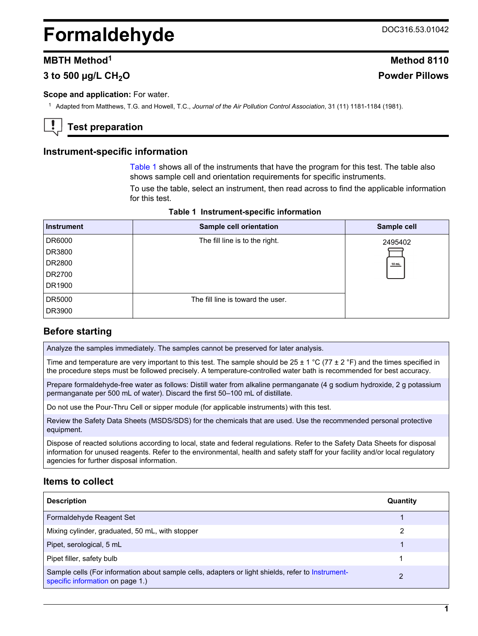# <span id="page-0-0"></span>**Formaldehyde** DOC316.53.01042

# **MBTH Method<sup>1</sup> Method 8110**

# **3 to 500 µg/L CH2O Powder Pillows**

#### **Scope and application: For water.**

<sup>1</sup> Adapted from Matthews, T.G. and Howell, T.C., *Journal of the Air Pollution Control Association*, 31 (11) 1181-1184 (1981).

# **Test preparation**

#### **Instrument-specific information**

Table 1 shows all of the instruments that have the program for this test. The table also shows sample cell and orientation requirements for specific instruments.

To use the table, select an instrument, then read across to find the applicable information for this test.

| <b>Instrument</b> | Sample cell orientation           | Sample cell |
|-------------------|-----------------------------------|-------------|
| DR6000            | The fill line is to the right.    | 2495402     |
| DR3800            |                                   |             |
| DR2800            |                                   | 10 mL       |
| DR2700            |                                   |             |
| DR1900            |                                   |             |
| DR5000            | The fill line is toward the user. |             |
| DR3900            |                                   |             |

#### **Table 1 Instrument-specific information**

# **Before starting**

Analyze the samples immediately. The samples cannot be preserved for later analysis.

Time and temperature are very important to this test. The sample should be  $25 \pm 1$  °C (77  $\pm$  2 °F) and the times specified in the procedure steps must be followed precisely. A temperature-controlled water bath is recommended for best accuracy.

Prepare formaldehyde-free water as follows: Distill water from alkaline permanganate (4 g sodium hydroxide, 2 g potassium permanganate per 500 mL of water). Discard the first 50–100 mL of distillate.

Do not use the Pour-Thru Cell or sipper module (for applicable instruments) with this test.

Review the Safety Data Sheets (MSDS/SDS) for the chemicals that are used. Use the recommended personal protective equipment.

Dispose of reacted solutions according to local, state and federal regulations. Refer to the Safety Data Sheets for disposal information for unused reagents. Refer to the environmental, health and safety staff for your facility and/or local regulatory agencies for further disposal information.

#### **Items to collect**

| <b>Description</b>                                                                                                                    | Quantity |
|---------------------------------------------------------------------------------------------------------------------------------------|----------|
| Formaldehyde Reagent Set                                                                                                              |          |
| Mixing cylinder, graduated, 50 mL, with stopper                                                                                       | 2        |
| Pipet, serological, 5 mL                                                                                                              |          |
| Pipet filler, safety bulb                                                                                                             |          |
| Sample cells (For information about sample cells, adapters or light shields, refer to Instrument-<br>specific information on page 1.) | 2        |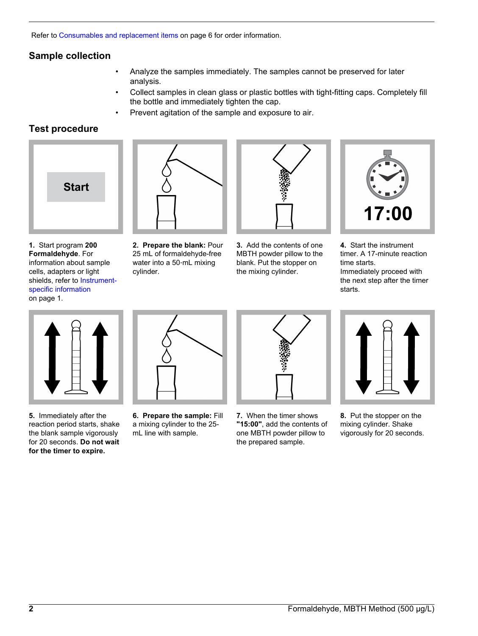Refer to [Consumables and replacement items](#page-5-0) on page 6 for order information.

# **Sample collection**

- Analyze the samples immediately. The samples cannot be preserved for later analysis.
- Collect samples in clean glass or plastic bottles with tight-fitting caps. Completely fill the bottle and immediately tighten the cap.
- Prevent agitation of the sample and exposure to air.

# **Test procedure**



**1.** Start program **200 Formaldehyde**. For information about sample cells, adapters or light shields, refer to [Instrument](#page-0-0)[specific information](#page-0-0) on page 1.



**2. Prepare the blank:** Pour 25 mL of formaldehyde-free water into a 50‑mL mixing cylinder.



**3.** Add the contents of one MBTH powder pillow to the blank. Put the stopper on the mixing cylinder.



**4.** Start the instrument timer. A 17-minute reaction time starts. Immediately proceed with the next step after the timer starts.



**5.** Immediately after the reaction period starts, shake the blank sample vigorously for 20 seconds. **Do not wait for the timer to expire.**



**6. Prepare the sample:** Fill a mixing cylinder to the 25 mL line with sample.



**7.** When the timer shows **"15:00"**, add the contents of one MBTH powder pillow to the prepared sample.



**8.** Put the stopper on the mixing cylinder. Shake vigorously for 20 seconds.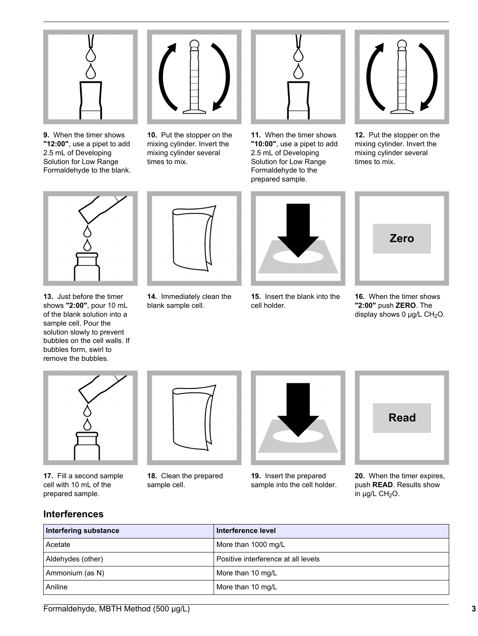

**9.** When the timer shows **"12:00"**, use a pipet to add 2.5 mL of Developing Solution for Low Range Formaldehyde to the blank.



**10.** Put the stopper on the mixing cylinder. Invert the mixing cylinder several times to mix.



**11.** When the timer shows **"10:00"**, use a pipet to add 2.5 mL of Developing Solution for Low Range Formaldehyde to the prepared sample.



**12.** Put the stopper on the mixing cylinder. Invert the mixing cylinder several times to mix.



**13.** Just before the timer shows **"2:00"**, pour 10 mL of the blank solution into a sample cell. Pour the solution slowly to prevent bubbles on the cell walls. If bubbles form, swirl to remove the bubbles.



**14.** Immediately clean the blank sample cell.



**15.** Insert the blank into the cell holder.



**16.** When the timer shows **"2:00"** push **ZERO**. The display shows 0  $\mu$ g/L CH<sub>2</sub>O.



**17.** Fill a second sample cell with 10 mL of the prepared sample.



**18.** Clean the prepared sample cell.



**19.** Insert the prepared sample into the cell holder.



**20.** When the timer expires, push **READ**. Results show in  $\mu$ g/L CH<sub>2</sub>O.

# **Interferences**

| Interfering substance | Interference level                  |
|-----------------------|-------------------------------------|
| Acetate               | More than 1000 mg/L                 |
| Aldehydes (other)     | Positive interference at all levels |
| Ammonium (as N)       | More than 10 mg/L                   |
| Aniline               | More than 10 mg/L                   |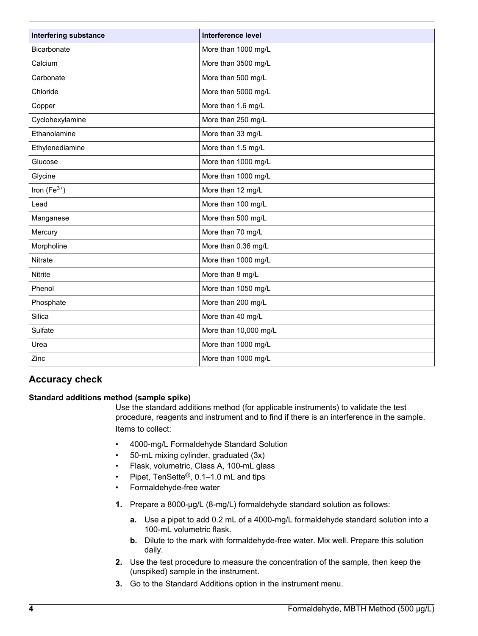<span id="page-3-0"></span>

| <b>Interfering substance</b> | Interference level    |
|------------------------------|-----------------------|
| <b>Bicarbonate</b>           | More than 1000 mg/L   |
| Calcium                      | More than 3500 mg/L   |
| Carbonate                    | More than 500 mg/L    |
| Chloride                     | More than 5000 mg/L   |
| Copper                       | More than 1.6 mg/L    |
| Cyclohexylamine              | More than 250 mg/L    |
| Ethanolamine                 | More than 33 mg/L     |
| Ethylenediamine              | More than 1.5 mg/L    |
| Glucose                      | More than 1000 mg/L   |
| Glycine                      | More than 1000 mg/L   |
| Iron $(Fe^{3+})$             | More than 12 mg/L     |
| Lead                         | More than 100 mg/L    |
| Manganese                    | More than 500 mg/L    |
| Mercury                      | More than 70 mg/L     |
| Morpholine                   | More than 0.36 mg/L   |
| Nitrate                      | More than 1000 mg/L   |
| Nitrite                      | More than 8 mg/L      |
| Phenol                       | More than 1050 mg/L   |
| Phosphate                    | More than 200 mg/L    |
| Silica                       | More than 40 mg/L     |
| Sulfate                      | More than 10,000 mg/L |
| Urea                         | More than 1000 mg/L   |
| Zinc                         | More than 1000 mg/L   |

# **Accuracy check**

#### **Standard additions method (sample spike)**

Use the standard additions method (for applicable instruments) to validate the test procedure, reagents and instrument and to find if there is an interference in the sample. Items to collect:

- 4000-mg/L Formaldehyde Standard Solution
- 50-mL mixing cylinder, graduated (3x)
- Flask, volumetric, Class A, 100-mL glass
- Pipet, TenSette®, 0.1–1.0 mL and tips
- Formaldehyde-free water
- **1.** Prepare a 8000-µg/L (8-mg/L) formaldehyde standard solution as follows:
	- **a.** Use a pipet to add 0.2 mL of a 4000-mg/L formaldehyde standard solution into a 100-mL volumetric flask.
	- **b.** Dilute to the mark with formaldehyde-free water. Mix well. Prepare this solution daily.
- **2.** Use the test procedure to measure the concentration of the sample, then keep the (unspiked) sample in the instrument.
- **3.** Go to the Standard Additions option in the instrument menu.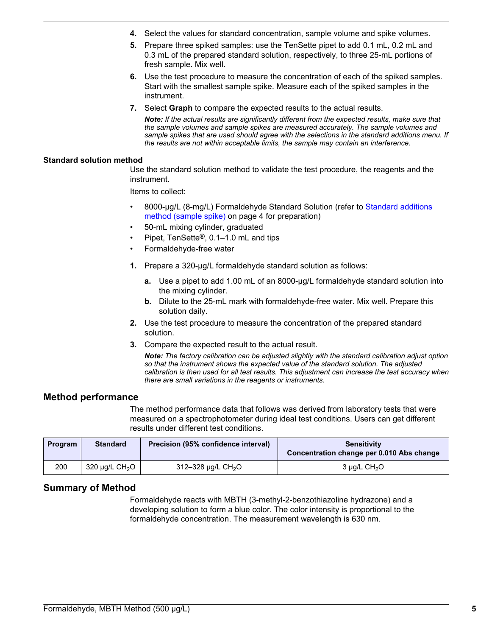- **4.** Select the values for standard concentration, sample volume and spike volumes.
- **5.** Prepare three spiked samples: use the TenSette pipet to add 0.1 mL, 0.2 mL and 0.3 mL of the prepared standard solution, respectively, to three 25-mL portions of fresh sample. Mix well.
- **6.** Use the test procedure to measure the concentration of each of the spiked samples. Start with the smallest sample spike. Measure each of the spiked samples in the instrument.
- **7.** Select **Graph** to compare the expected results to the actual results.

*Note: If the actual results are significantly different from the expected results, make sure that the sample volumes and sample spikes are measured accurately. The sample volumes and sample spikes that are used should agree with the selections in the standard additions menu. If the results are not within acceptable limits, the sample may contain an interference.*

#### **Standard solution method**

Use the standard solution method to validate the test procedure, the reagents and the instrument.

Items to collect:

- 8000-µg/L (8-mg/L) Formaldehyde Standard Solution (refer to [Standard additions](#page-3-0) [method \(sample spike\)](#page-3-0) on page 4 for preparation)
- 50-mL mixing cylinder, graduated
- Pipet, TenSette®, 0.1–1.0 mL and tips
- Formaldehyde-free water
- **1.** Prepare a 320-µg/L formaldehyde standard solution as follows:
	- **a.** Use a pipet to add 1.00 mL of an 8000-µg/L formaldehyde standard solution into the mixing cylinder.
	- **b.** Dilute to the 25-mL mark with formaldehyde-free water. Mix well. Prepare this solution daily.
- **2.** Use the test procedure to measure the concentration of the prepared standard solution.
- **3.** Compare the expected result to the actual result.

*Note: The factory calibration can be adjusted slightly with the standard calibration adjust option so that the instrument shows the expected value of the standard solution. The adjusted calibration is then used for all test results. This adjustment can increase the test accuracy when there are small variations in the reagents or instruments.*

#### **Method performance**

The method performance data that follows was derived from laboratory tests that were measured on a spectrophotometer during ideal test conditions. Users can get different results under different test conditions.

| Program | <b>Standard</b>                 | Precision (95% confidence interval) | <b>Sensitivity</b><br>Concentration change per 0.010 Abs change |
|---------|---------------------------------|-------------------------------------|-----------------------------------------------------------------|
| 200     | 320 $\mu$ g/L CH <sub>2</sub> O | 312-328 µg/L CH <sub>2</sub> O      | $3 \mu q/L$ CH <sub>2</sub> O                                   |

# **Summary of Method**

Formaldehyde reacts with MBTH (3-methyl-2-benzothiazoline hydrazone) and a developing solution to form a blue color. The color intensity is proportional to the formaldehyde concentration. The measurement wavelength is 630 nm.